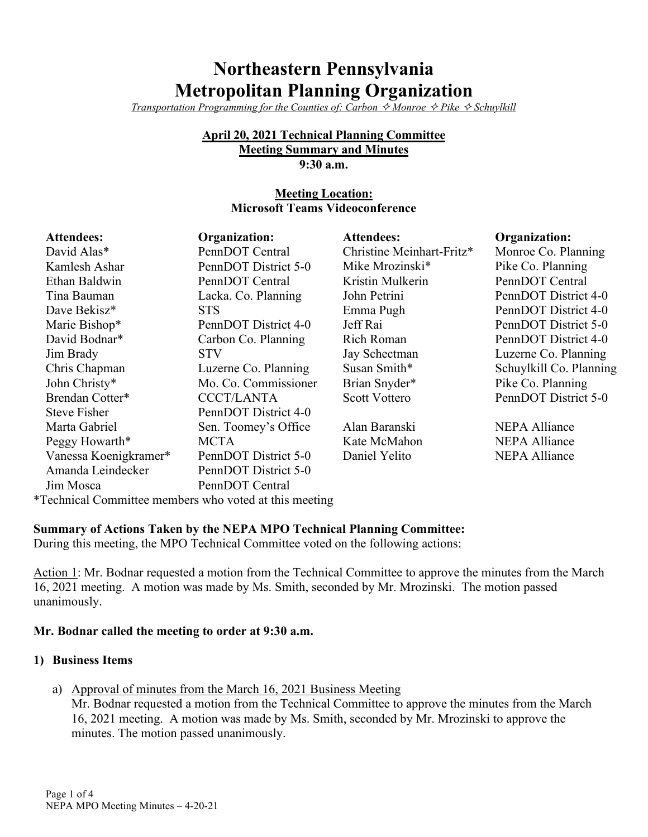# **Northeastern Pennsylvania Metropolitan Planning Organization**

*Transportation Programming for the Counties of: Carbon*  $\Diamond$  *Monroe*  $\Diamond$  *Pike*  $\Diamond$  *Schuylkill* 

#### **April 20, 2021 Technical Planning Committee Meeting Summary and Minutes 9:30 a.m.**

## **Meeting Location: Microsoft Teams Videoconference**

| <b>Attendees:</b>     | Organization:        | <b>Attendees:</b>         | Organization:           |
|-----------------------|----------------------|---------------------------|-------------------------|
| David Alas*           | PennDOT Central      | Christine Meinhart-Fritz* | Monroe Co. Planning     |
| Kamlesh Ashar         | PennDOT District 5-0 | Mike Mrozinski*           | Pike Co. Planning       |
| Ethan Baldwin         | PennDOT Central      | Kristin Mulkerin          | PennDOT Central         |
| Tina Bauman           | Lacka. Co. Planning  | John Petrini              | PennDOT District 4-0    |
| Dave Bekisz*          | <b>STS</b>           | Emma Pugh                 | PennDOT District 4-0    |
| Marie Bishop*         | PennDOT District 4-0 | Jeff Rai                  | PennDOT District 5-0    |
| David Bodnar*         | Carbon Co. Planning  | Rich Roman                | PennDOT District 4-0    |
| Jim Brady             | <b>STV</b>           | Jay Schectman             | Luzerne Co. Planning    |
| Chris Chapman         | Luzerne Co. Planning | Susan Smith*              | Schuylkill Co. Planning |
| John Christy*         | Mo. Co. Commissioner | Brian Snyder*             | Pike Co. Planning       |
| Brendan Cotter*       | <b>CCCT/LANTA</b>    | <b>Scott Vottero</b>      | PennDOT District 5-0    |
| <b>Steve Fisher</b>   | PennDOT District 4-0 |                           |                         |
| Marta Gabriel         | Sen. Toomey's Office | Alan Baranski             | <b>NEPA Alliance</b>    |
| Peggy Howarth*        | <b>MCTA</b>          | Kate McMahon              | <b>NEPA Alliance</b>    |
| Vanessa Koenigkramer* | PennDOT District 5-0 | Daniel Yelito             | <b>NEPA Alliance</b>    |
| Amanda Leindecker     | PennDOT District 5-0 |                           |                         |
| Jim Mosca             | PennDOT Central      |                           |                         |

\*Technical Committee members who voted at this meeting

## **Summary of Actions Taken by the NEPA MPO Technical Planning Committee:**

During this meeting, the MPO Technical Committee voted on the following actions:

Action 1: Mr. Bodnar requested a motion from the Technical Committee to approve the minutes from the March 16, 2021 meeting. A motion was made by Ms. Smith, seconded by Mr. Mrozinski. The motion passed unanimously.

## **Mr. Bodnar called the meeting to order at 9:30 a.m.**

## **1) Business Items**

a) Approval of minutes from the March 16, 2021 Business Meeting

Mr. Bodnar requested a motion from the Technical Committee to approve the minutes from the March 16, 2021 meeting. A motion was made by Ms. Smith, seconded by Mr. Mrozinski to approve the minutes. The motion passed unanimously.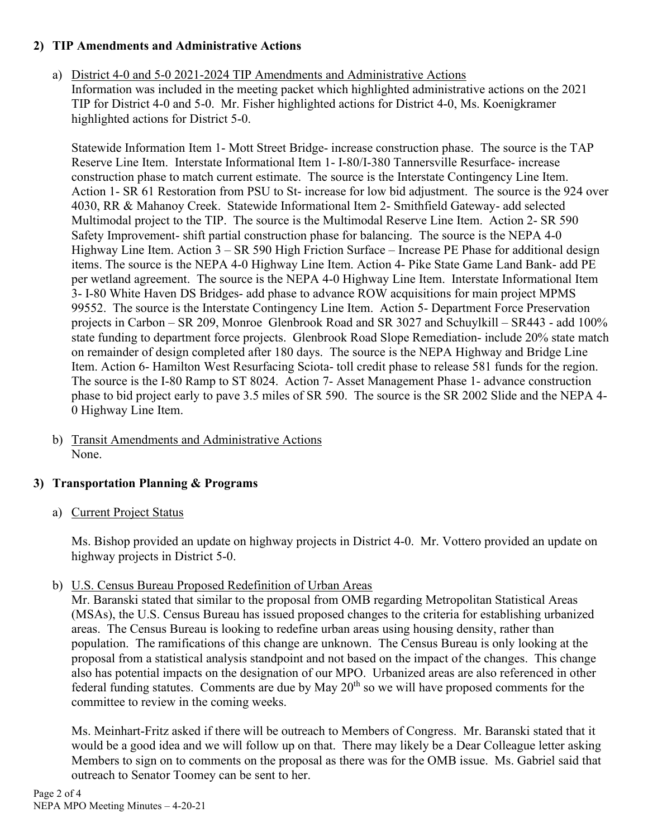## **2) TIP Amendments and Administrative Actions**

a) District 4-0 and 5-0 2021-2024 TIP Amendments and Administrative Actions Information was included in the meeting packet which highlighted administrative actions on the 2021 TIP for District 4-0 and 5-0. Mr. Fisher highlighted actions for District 4-0, Ms. Koenigkramer highlighted actions for District 5-0.

Statewide Information Item 1- Mott Street Bridge- increase construction phase. The source is the TAP Reserve Line Item. Interstate Informational Item 1- I-80/I-380 Tannersville Resurface- increase construction phase to match current estimate. The source is the Interstate Contingency Line Item. Action 1- SR 61 Restoration from PSU to St- increase for low bid adjustment. The source is the 924 over 4030, RR & Mahanoy Creek. Statewide Informational Item 2- Smithfield Gateway- add selected Multimodal project to the TIP. The source is the Multimodal Reserve Line Item. Action 2- SR 590 Safety Improvement- shift partial construction phase for balancing. The source is the NEPA 4-0 Highway Line Item. Action 3 – SR 590 High Friction Surface – Increase PE Phase for additional design items. The source is the NEPA 4-0 Highway Line Item. Action 4- Pike State Game Land Bank- add PE per wetland agreement. The source is the NEPA 4-0 Highway Line Item. Interstate Informational Item 3- I-80 White Haven DS Bridges- add phase to advance ROW acquisitions for main project MPMS 99552. The source is the Interstate Contingency Line Item. Action 5- Department Force Preservation projects in Carbon – SR 209, Monroe Glenbrook Road and SR 3027 and Schuylkill – SR443 - add 100% state funding to department force projects. Glenbrook Road Slope Remediation- include 20% state match on remainder of design completed after 180 days. The source is the NEPA Highway and Bridge Line Item. Action 6- Hamilton West Resurfacing Sciota- toll credit phase to release 581 funds for the region. The source is the I-80 Ramp to ST 8024. Action 7- Asset Management Phase 1- advance construction phase to bid project early to pave 3.5 miles of SR 590. The source is the SR 2002 Slide and the NEPA 4- 0 Highway Line Item.

b) Transit Amendments and Administrative Actions None.

## **3) Transportation Planning & Programs**

a) Current Project Status

Ms. Bishop provided an update on highway projects in District 4-0. Mr. Vottero provided an update on highway projects in District 5-0.

## b) U.S. Census Bureau Proposed Redefinition of Urban Areas

Mr. Baranski stated that similar to the proposal from OMB regarding Metropolitan Statistical Areas (MSAs), the U.S. Census Bureau has issued proposed changes to the criteria for establishing urbanized areas. The Census Bureau is looking to redefine urban areas using housing density, rather than population. The ramifications of this change are unknown. The Census Bureau is only looking at the proposal from a statistical analysis standpoint and not based on the impact of the changes. This change also has potential impacts on the designation of our MPO. Urbanized areas are also referenced in other federal funding statutes. Comments are due by May 20<sup>th</sup> so we will have proposed comments for the committee to review in the coming weeks.

Ms. Meinhart-Fritz asked if there will be outreach to Members of Congress. Mr. Baranski stated that it would be a good idea and we will follow up on that. There may likely be a Dear Colleague letter asking Members to sign on to comments on the proposal as there was for the OMB issue. Ms. Gabriel said that outreach to Senator Toomey can be sent to her.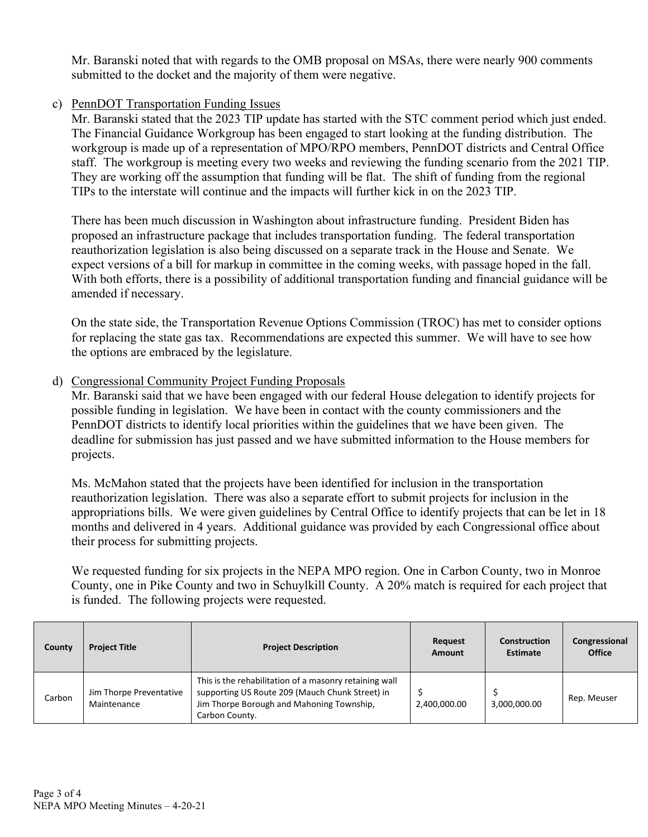Mr. Baranski noted that with regards to the OMB proposal on MSAs, there were nearly 900 comments submitted to the docket and the majority of them were negative.

## c) PennDOT Transportation Funding Issues

Mr. Baranski stated that the 2023 TIP update has started with the STC comment period which just ended. The Financial Guidance Workgroup has been engaged to start looking at the funding distribution. The workgroup is made up of a representation of MPO/RPO members, PennDOT districts and Central Office staff. The workgroup is meeting every two weeks and reviewing the funding scenario from the 2021 TIP. They are working off the assumption that funding will be flat. The shift of funding from the regional TIPs to the interstate will continue and the impacts will further kick in on the 2023 TIP.

There has been much discussion in Washington about infrastructure funding. President Biden has proposed an infrastructure package that includes transportation funding. The federal transportation reauthorization legislation is also being discussed on a separate track in the House and Senate. We expect versions of a bill for markup in committee in the coming weeks, with passage hoped in the fall. With both efforts, there is a possibility of additional transportation funding and financial guidance will be amended if necessary.

On the state side, the Transportation Revenue Options Commission (TROC) has met to consider options for replacing the state gas tax. Recommendations are expected this summer. We will have to see how the options are embraced by the legislature.

## d) Congressional Community Project Funding Proposals

Mr. Baranski said that we have been engaged with our federal House delegation to identify projects for possible funding in legislation. We have been in contact with the county commissioners and the PennDOT districts to identify local priorities within the guidelines that we have been given. The deadline for submission has just passed and we have submitted information to the House members for projects.

Ms. McMahon stated that the projects have been identified for inclusion in the transportation reauthorization legislation. There was also a separate effort to submit projects for inclusion in the appropriations bills. We were given guidelines by Central Office to identify projects that can be let in 18 months and delivered in 4 years. Additional guidance was provided by each Congressional office about their process for submitting projects.

We requested funding for six projects in the NEPA MPO region. One in Carbon County, two in Monroe County, one in Pike County and two in Schuylkill County. A 20% match is required for each project that is funded. The following projects were requested.

| County | <b>Project Title</b>                   | <b>Project Description</b>                                                                                                                                               | Request<br><b>Amount</b> | Construction<br><b>Estimate</b> | Congressional<br>Office |
|--------|----------------------------------------|--------------------------------------------------------------------------------------------------------------------------------------------------------------------------|--------------------------|---------------------------------|-------------------------|
| Carbon | Jim Thorpe Preventative<br>Maintenance | This is the rehabilitation of a masonry retaining wall<br>supporting US Route 209 (Mauch Chunk Street) in<br>Jim Thorpe Borough and Mahoning Township,<br>Carbon County. | 2.400.000.00             | 3.000.000.00                    | Rep. Meuser             |